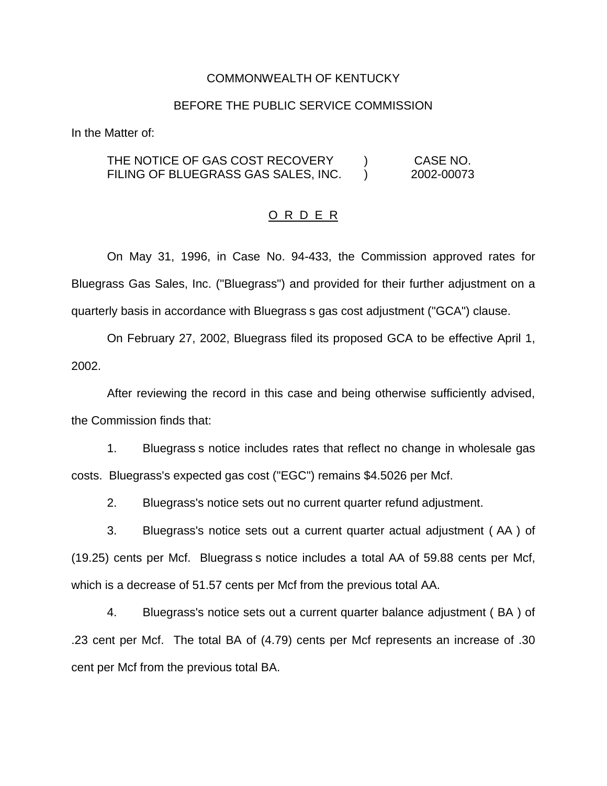### COMMONWEALTH OF KENTUCKY

## BEFORE THE PUBLIC SERVICE COMMISSION

In the Matter of:

THE NOTICE OF GAS COST RECOVERY ) CASE NO. FILING OF BLUEGRASS GAS SALES, INC.  $\qquad$  2002-00073

#### O R D E R

On May 31, 1996, in Case No. 94-433, the Commission approved rates for Bluegrass Gas Sales, Inc. ("Bluegrass") and provided for their further adjustment on a quarterly basis in accordance with Bluegrass s gas cost adjustment ("GCA") clause.

On February 27, 2002, Bluegrass filed its proposed GCA to be effective April 1, 2002.

After reviewing the record in this case and being otherwise sufficiently advised, the Commission finds that:

1. Bluegrass s notice includes rates that reflect no change in wholesale gas costs. Bluegrass's expected gas cost ("EGC") remains \$4.5026 per Mcf.

2. Bluegrass's notice sets out no current quarter refund adjustment.

3. Bluegrass's notice sets out a current quarter actual adjustment ( AA ) of (19.25) cents per Mcf. Bluegrass s notice includes a total AA of 59.88 cents per Mcf, which is a decrease of 51.57 cents per Mcf from the previous total AA.

4. Bluegrass's notice sets out a current quarter balance adjustment ( BA ) of .23 cent per Mcf. The total BA of (4.79) cents per Mcf represents an increase of .30 cent per Mcf from the previous total BA.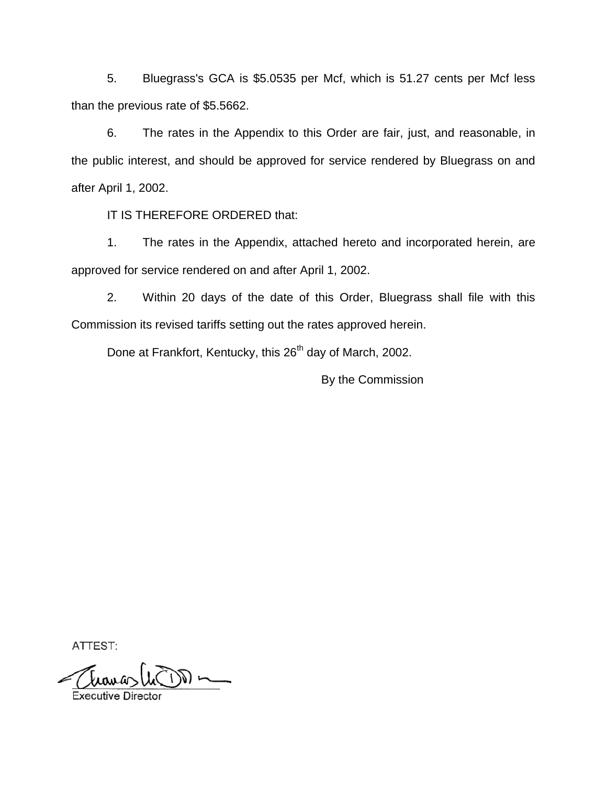5. Bluegrass's GCA is \$5.0535 per Mcf, which is 51.27 cents per Mcf less than the previous rate of \$5.5662.

6. The rates in the Appendix to this Order are fair, just, and reasonable, in the public interest, and should be approved for service rendered by Bluegrass on and after April 1, 2002.

IT IS THEREFORE ORDERED that:

1. The rates in the Appendix, attached hereto and incorporated herein, are approved for service rendered on and after April 1, 2002.

2. Within 20 days of the date of this Order, Bluegrass shall file with this Commission its revised tariffs setting out the rates approved herein.

Done at Frankfort, Kentucky, this 26<sup>th</sup> day of March, 2002.

By the Commission

ATTEST: